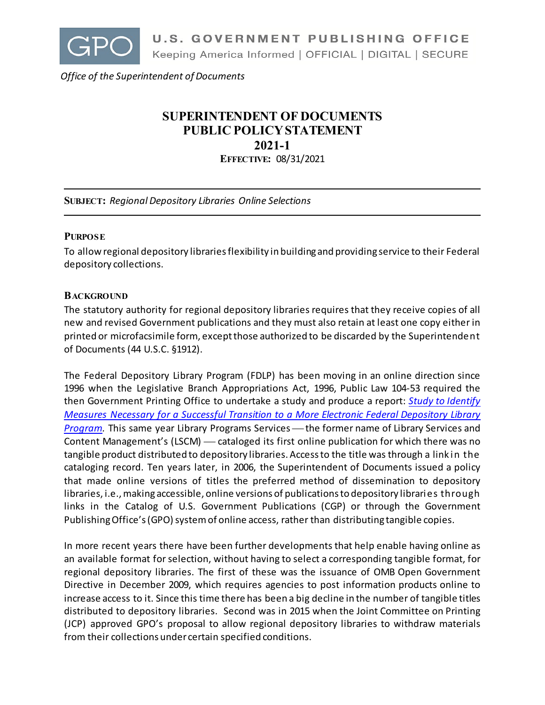

*Office of the Superintendent of Documents*

# **SUPERINTENDENT OF DOCUMENTS PUBLIC POLICY STATEMENT 2021-1 EFFECTIVE:** 08/31/2021

**SUBJECT:** *Regional Depository Libraries Online Selections*

#### **PURPOSE**

To allow regional depository libraries flexibility in building and providing service to their Federal depository collections.

#### **BACKGROUND**

The statutory authority for regional depository libraries requires that they receive copies of all new and revised Government publications and they must also retain at least one copy either in printed or microfacsimile form, except those authorized to be discarded by the Superintendent of Documents (44 U.S.C. §1912).

The Federal Depository Library Program (FDLP) has been moving in an online direction since 1996 when the Legislative Branch Appropriations Act, 1996, Public Law 104-53 required the then Government Printing Office to undertake a study and produce a report: *[Study to Identify](https://www.govinfo.gov/content/pkg/GOVPUB-GP3-83702f16b5d4a3823308c2c477545669/pdf/GOVPUB-GP3-83702f16b5d4a3823308c2c477545669.pdf)  Measures Necessary for [a Successful Transition to a More Electronic Federal Depository Library](https://www.govinfo.gov/content/pkg/GOVPUB-GP3-83702f16b5d4a3823308c2c477545669/pdf/GOVPUB-GP3-83702f16b5d4a3823308c2c477545669.pdf)  [Program.](https://www.govinfo.gov/content/pkg/GOVPUB-GP3-83702f16b5d4a3823308c2c477545669/pdf/GOVPUB-GP3-83702f16b5d4a3823308c2c477545669.pdf)* This same year Library Programs Services — the former name of Library Services and Content Management's (LSCM) — cataloged its first online publication for which there was no tangible product distributed to depository libraries. Access to the title was through a link in the cataloging record. Ten years later, in 2006, the Superintendent of Documents issued a policy that made online versions of titles the preferred method of dissemination to depository libraries, i.e., making accessible, online versions of publications to depository libraries through links in the Catalog of U.S. Government Publications (CGP) or through the Government Publishing Office's (GPO) system of online access, rather than distributing tangible copies.

In more recent years there have been further developments that help enable having online as an available format for selection, without having to select a corresponding tangible format, for regional depository libraries. The first of these was the issuance of OMB Open Government Directive in December 2009, which requires agencies to post information products online to increase access to it. Since this time there has been a big decline in the number of tangible titles distributed to depository libraries. Second was in 2015 when the Joint Committee on Printing (JCP) approved GPO's proposal to allow regional depository libraries to withdraw materials from their collections under certain specified conditions.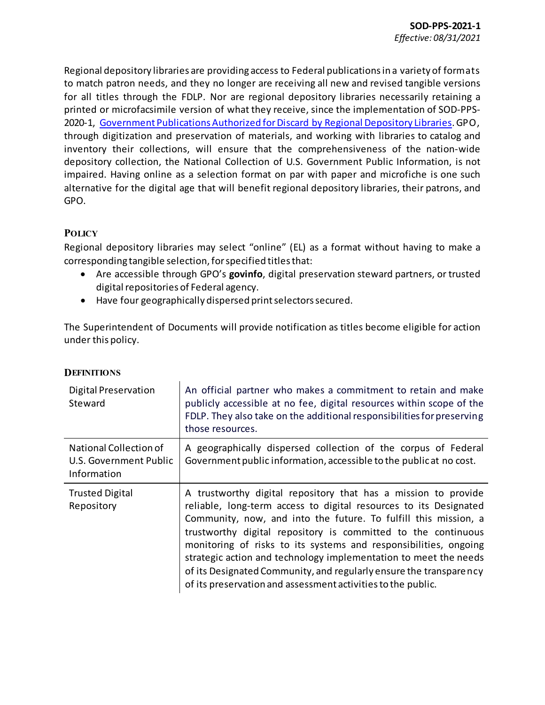Regional depository libraries are providing access to Federal publications in a variety of formats to match patron needs, and they no longer are receiving all new and revised tangible versions for all titles through the FDLP. Nor are regional depository libraries necessarily retaining a printed or microfacsimile version of what they receive, since the implementation of SOD-PPS-2020-1, [Government Publications Authorized for Discard by Regional Depository Libraries.](https://www.fdlp.gov/file-repository/about-the-fdlp/policies/superintendent-of-documents-public-policies/4400-government-publications-authorized-for-discard-by-regional-depository-libraries-2) GPO, through digitization and preservation of materials, and working with libraries to catalog and inventory their collections, will ensure that the comprehensiveness of the nation-wide depository collection, the National Collection of U.S. Government Public Information, is not impaired. Having online as a selection format on par with paper and microfiche is one such alternative for the digital age that will benefit regional depository libraries, their patrons, and GPO.

## **POLICY**

Regional depository libraries may select "online" (EL) as a format without having to make a corresponding tangible selection, for specified titlesthat:

- Are accessible through GPO's **govinfo**, digital preservation steward partners, or trusted digital repositories of Federal agency.
- Have four geographically dispersed print selectors secured.

The Superintendent of Documents will provide notification as titles become eligible for action under this policy.

| Digital Preservation<br>Steward                                 | An official partner who makes a commitment to retain and make<br>publicly accessible at no fee, digital resources within scope of the<br>FDLP. They also take on the additional responsibilities for preserving<br>those resources.                                                                                                                                                                                                                                                                                                                   |
|-----------------------------------------------------------------|-------------------------------------------------------------------------------------------------------------------------------------------------------------------------------------------------------------------------------------------------------------------------------------------------------------------------------------------------------------------------------------------------------------------------------------------------------------------------------------------------------------------------------------------------------|
| National Collection of<br>U.S. Government Public<br>Information | A geographically dispersed collection of the corpus of Federal<br>Government public information, accessible to the public at no cost.                                                                                                                                                                                                                                                                                                                                                                                                                 |
| <b>Trusted Digital</b><br>Repository                            | A trustworthy digital repository that has a mission to provide<br>reliable, long-term access to digital resources to its Designated<br>Community, now, and into the future. To fulfill this mission, a<br>trustworthy digital repository is committed to the continuous<br>monitoring of risks to its systems and responsibilities, ongoing<br>strategic action and technology implementation to meet the needs<br>of its Designated Community, and regularly ensure the transparency<br>of its preservation and assessment activities to the public. |

## **DEFINITIONS**